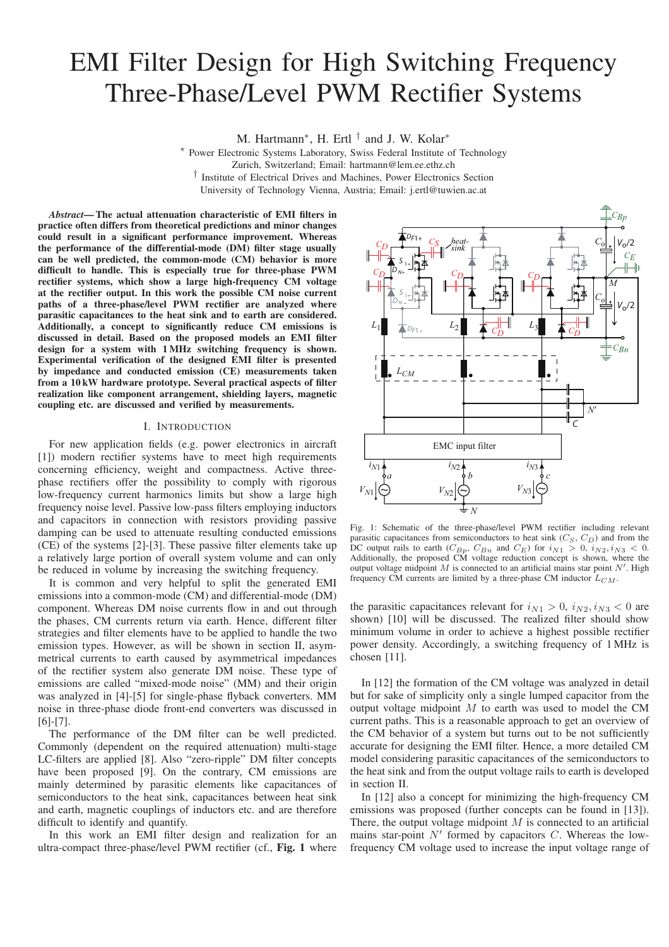# EMI Filter Design for High Switching Frequency Three-Phase/Level PWM Rectifier Systems

M. Hartmann<sup>∗</sup> , H. Ertl † and J. W. Kolar<sup>∗</sup>

∗ Power Electronic Systems Laboratory, Swiss Federal Institute of Technology Zurich, Switzerland; Email: hartmann@lem.ee.ethz.ch

† Institute of Electrical Drives and Machines, Power Electronics Section University of Technology Vienna, Austria; Email: j.ertl@tuwien.ac.at

*Abstract*— The actual attenuation characteristic of EMI filters in practice often differs from theoretical predictions and minor changes could result in a significant performance improvement. Whereas the performance of the differential-mode (DM) filter stage usually can be well predicted, the common-mode (CM) behavior is more difficult to handle. This is especially true for three-phase PWM rectifier systems, which show a large high-frequency CM voltage at the rectifier output. In this work the possible CM noise current paths of a three-phase/level PWM rectifier are analyzed where parasitic capacitances to the heat sink and to earth are considered. Additionally, a concept to significantly reduce CM emissions is discussed in detail. Based on the proposed models an EMI filter design for a system with 1 MHz switching frequency is shown. Experimental verification of the designed EMI filter is presented by impedance and conducted emission (CE) measurements taken from a 10 kW hardware prototype. Several practical aspects of filter realization like component arrangement, shielding layers, magnetic coupling etc. are discussed and verified by measurements.

### I. INTRODUCTION

For new application fields (e.g. power electronics in aircraft [1]) modern rectifier systems have to meet high requirements concerning efficiency, weight and compactness. Active threephase rectifiers offer the possibility to comply with rigorous low-frequency current harmonics limits but show a large high frequency noise level. Passive low-pass filters employing inductors and capacitors in connection with resistors providing passive damping can be used to attenuate resulting conducted emissions (CE) of the systems [2]-[3]. These passive filter elements take up a relatively large portion of overall system volume and can only be reduced in volume by increasing the switching frequency.

It is common and very helpful to split the generated EMI emissions into a common-mode (CM) and differential-mode (DM) component. Whereas DM noise currents flow in and out through the phases, CM currents return via earth. Hence, different filter strategies and filter elements have to be applied to handle the two emission types. However, as will be shown in section II, asymmetrical currents to earth caused by asymmetrical impedances of the rectifier system also generate DM noise. These type of emissions are called "mixed-mode noise" (MM) and their origin was analyzed in [4]-[5] for single-phase flyback converters. MM noise in three-phase diode front-end converters was discussed in [6]-[7].

The performance of the DM filter can be well predicted. Commonly (dependent on the required attenuation) multi-stage LC-filters are applied [8]. Also "zero-ripple" DM filter concepts have been proposed [9]. On the contrary, CM emissions are mainly determined by parasitic elements like capacitances of semiconductors to the heat sink, capacitances between heat sink and earth, magnetic couplings of inductors etc. and are therefore difficult to identify and quantify.

In this work an EMI filter design and realization for an ultra-compact three-phase/level PWM rectifier (cf., Fig. 1 where



Fig. 1: Schematic of the three-phase/level PWM rectifier including relevant parasitic capacitances from semiconductors to heat sink  $(C_S, C_D)$  and from the DC output rails to earth  $(C_{Bp}, C_{Bn}$  and  $C_E$ ) for  $i_{N1} > 0$ ,  $i_{N2}, i_{N3} < 0$ . Additionally, the proposed CM voltage reduction concept is shown, where the output voltage midpoint  $M$  is connected to an artificial mains star point  $N'$ . High frequency CM currents are limited by a three-phase CM inductor  $L_{CM}$ .

the parasitic capacitances relevant for  $i_{N1} > 0$ ,  $i_{N2}, i_{N3} < 0$  are shown) [10] will be discussed. The realized filter should show minimum volume in order to achieve a highest possible rectifier power density. Accordingly, a switching frequency of 1 MHz is chosen [11].

In [12] the formation of the CM voltage was analyzed in detail but for sake of simplicity only a single lumped capacitor from the output voltage midpoint  $M$  to earth was used to model the CM current paths. This is a reasonable approach to get an overview of the CM behavior of a system but turns out to be not sufficiently accurate for designing the EMI filter. Hence, a more detailed CM model considering parasitic capacitances of the semiconductors to the heat sink and from the output voltage rails to earth is developed in section II.

In [12] also a concept for minimizing the high-frequency CM emissions was proposed (further concepts can be found in [13]). There, the output voltage midpoint  $M$  is connected to an artificial mains star-point  $N'$  formed by capacitors  $C$ . Whereas the lowfrequency CM voltage used to increase the input voltage range of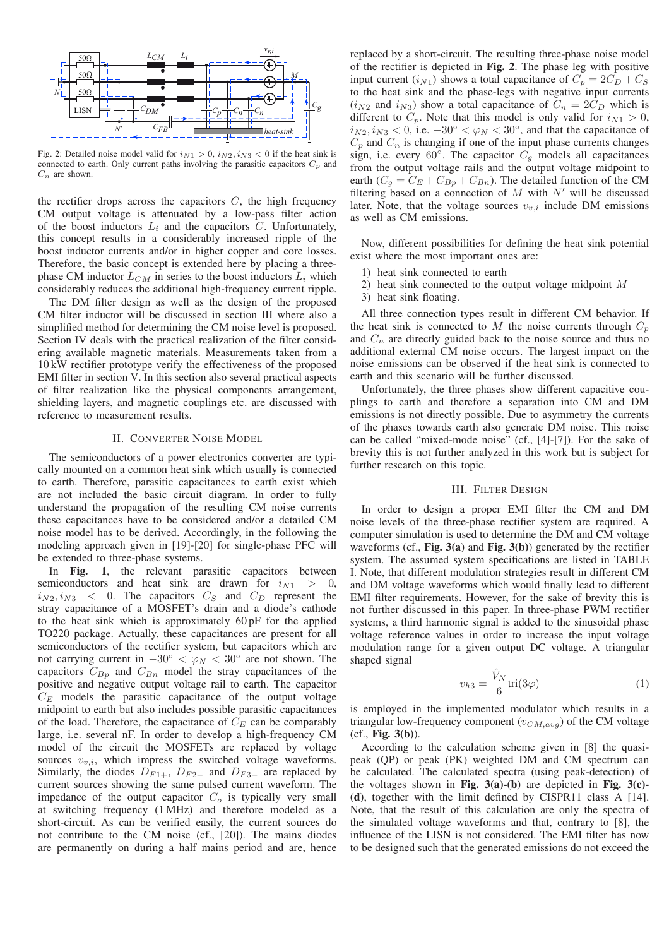

Fig. 2: Detailed noise model valid for  $i_{N1} > 0$ ,  $i_{N2}, i_{N3} < 0$  if the heat sink is connected to earth. Only current paths involving the parasitic capacitors  $C_p$  and  $C_n$  are shown.

the rectifier drops across the capacitors  $C$ , the high frequency CM output voltage is attenuated by a low-pass filter action of the boost inductors  $L_i$  and the capacitors  $C$ . Unfortunately, this concept results in a considerably increased ripple of the boost inductor currents and/or in higher copper and core losses. Therefore, the basic concept is extended here by placing a threephase CM inductor  $L_{CM}$  in series to the boost inductors  $L_i$  which considerably reduces the additional high-frequency current ripple.

The DM filter design as well as the design of the proposed CM filter inductor will be discussed in section III where also a simplified method for determining the CM noise level is proposed. Section IV deals with the practical realization of the filter considering available magnetic materials. Measurements taken from a 10 kW rectifier prototype verify the effectiveness of the proposed EMI filter in section V. In this section also several practical aspects of filter realization like the physical components arrangement, shielding layers, and magnetic couplings etc. are discussed with reference to measurement results.

## II. CONVERTER NOISE MODEL

The semiconductors of a power electronics converter are typically mounted on a common heat sink which usually is connected to earth. Therefore, parasitic capacitances to earth exist which are not included the basic circuit diagram. In order to fully understand the propagation of the resulting CM noise currents these capacitances have to be considered and/or a detailed CM noise model has to be derived. Accordingly, in the following the modeling approach given in [19]-[20] for single-phase PFC will be extended to three-phase systems.

In Fig. 1, the relevant parasitic capacitors between semiconductors and heat sink are drawn for  $i_{N1} > 0$ ,  $i_{N2}, i_{N3}$  < 0. The capacitors  $C_S$  and  $C_D$  represent the stray capacitance of a MOSFET's drain and a diode's cathode to the heat sink which is approximately 60 pF for the applied TO220 package. Actually, these capacitances are present for all semiconductors of the rectifier system, but capacitors which are not carrying current in  $-30^{\circ} < \varphi_N < 30^{\circ}$  are not shown. The capacitors  $C_{Bp}$  and  $C_{Bn}$  model the stray capacitances of the positive and negative output voltage rail to earth. The capacitor  $C_E$  models the parasitic capacitance of the output voltage midpoint to earth but also includes possible parasitic capacitances of the load. Therefore, the capacitance of  $C_F$  can be comparably large, i.e. several nF. In order to develop a high-frequency CM model of the circuit the MOSFETs are replaced by voltage sources  $v_{v,i}$ , which impress the switched voltage waveforms. Similarly, the diodes  $D_{F1+}$ ,  $D_{F2-}$  and  $D_{F3-}$  are replaced by current sources showing the same pulsed current waveform. The impedance of the output capacitor  $C<sub>o</sub>$  is typically very small at switching frequency (1 MHz) and therefore modeled as a short-circuit. As can be verified easily, the current sources do not contribute to the CM noise (cf., [20]). The mains diodes are permanently on during a half mains period and are, hence

replaced by a short-circuit. The resulting three-phase noise model of the rectifier is depicted in Fig. 2. The phase leg with positive input current  $(i_{N1})$  shows a total capacitance of  $C_p = 2C_D + C_S$ to the heat sink and the phase-legs with negative input currents  $(i_{N2}$  and  $i_{N3})$  show a total capacitance of  $C_n = 2C_D$  which is different to  $C_p$ . Note that this model is only valid for  $i_{N1} > 0$ ,  $i_{N2}, i_{N3} < 0$ , i.e.  $-30^{\circ} < \varphi_N < 30^{\circ}$ , and that the capacitance of  $C_p$  and  $C_n$  is changing if one of the input phase currents changes sign, i.e. every 60°. The capacitor  $C_g$  models all capacitances from the output voltage rails and the output voltage midpoint to earth  $(C_q = C_E + C_{Bp} + C_{Bn})$ . The detailed function of the CM filtering based on a connection of  $M$  with  $N'$  will be discussed later. Note, that the voltage sources  $v_{v,i}$  include DM emissions as well as CM emissions.

Now, different possibilities for defining the heat sink potential exist where the most important ones are:

- 1) heat sink connected to earth
- 2) heat sink connected to the output voltage midpoint M
- 3) heat sink floating.

All three connection types result in different CM behavior. If the heat sink is connected to M the noise currents through  $C_p$ and  $C_n$  are directly guided back to the noise source and thus no additional external CM noise occurs. The largest impact on the noise emissions can be observed if the heat sink is connected to earth and this scenario will be further discussed.

Unfortunately, the three phases show different capacitive couplings to earth and therefore a separation into CM and DM emissions is not directly possible. Due to asymmetry the currents of the phases towards earth also generate DM noise. This noise can be called "mixed-mode noise" (cf., [4]-[7]). For the sake of brevity this is not further analyzed in this work but is subject for further research on this topic.

# III. FILTER DESIGN

In order to design a proper EMI filter the CM and DM noise levels of the three-phase rectifier system are required. A computer simulation is used to determine the DM and CM voltage waveforms (cf., Fig.  $3(a)$  and Fig.  $3(b)$ ) generated by the rectifier system. The assumed system specifications are listed in TABLE I. Note, that different modulation strategies result in different CM and DM voltage waveforms which would finally lead to different EMI filter requirements. However, for the sake of brevity this is not further discussed in this paper. In three-phase PWM rectifier systems, a third harmonic signal is added to the sinusoidal phase voltage reference values in order to increase the input voltage modulation range for a given output DC voltage. A triangular shaped signal

$$
v_{h3} = \frac{\hat{V}_N}{6} \text{tri}(3\varphi) \tag{1}
$$

is employed in the implemented modulator which results in a triangular low-frequency component  $(v_{CM,avg})$  of the CM voltage  $(cf., Fig. 3(b)).$ 

According to the calculation scheme given in [8] the quasipeak (QP) or peak (PK) weighted DM and CM spectrum can be calculated. The calculated spectra (using peak-detection) of the voltages shown in Fig.  $3(a)-(b)$  are depicted in Fig.  $3(c)$ -(d), together with the limit defined by CISPR11 class A [14]. Note, that the result of this calculation are only the spectra of the simulated voltage waveforms and that, contrary to [8], the influence of the LISN is not considered. The EMI filter has now to be designed such that the generated emissions do not exceed the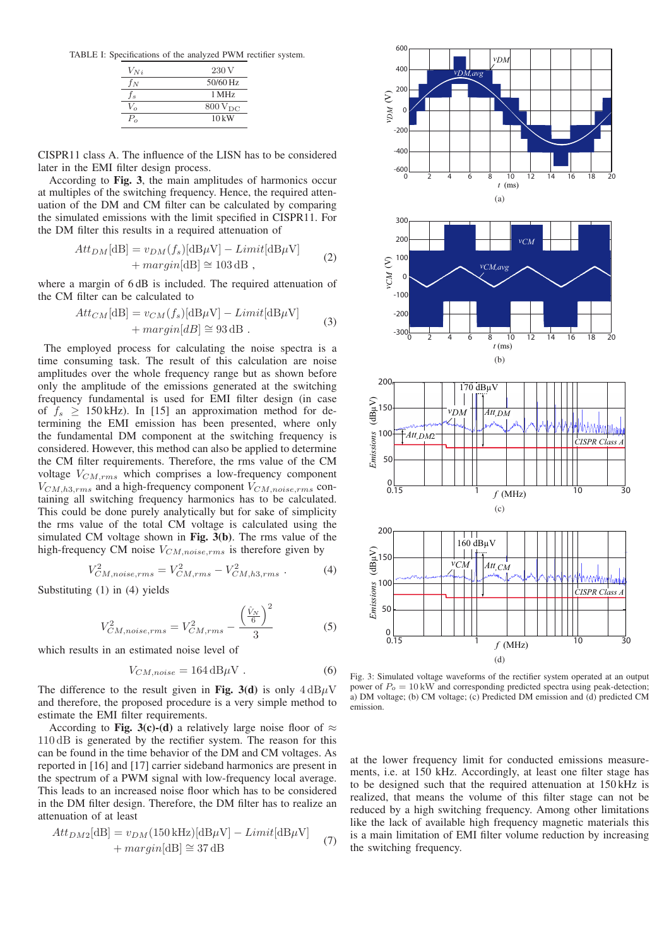TABLE I: Specifications of the analyzed PWM rectifier system.

| $V_{Ni}$     | 230 V             |
|--------------|-------------------|
| 'N           | $50/60$ Hz        |
| s            | 1 MHz             |
|              | $800\,\text{Vpc}$ |
| $P_{\alpha}$ | $10$ kW           |

CISPR11 class A. The influence of the LISN has to be considered later in the EMI filter design process.

According to Fig. 3, the main amplitudes of harmonics occur at multiples of the switching frequency. Hence, the required attenuation of the DM and CM filter can be calculated by comparing the simulated emissions with the limit specified in CISPR11. For the DM filter this results in a required attenuation of

$$
Att_{DM}[dB] = v_{DM}(f_s)[dB\mu V] - Limit[dB\mu V] + margin[dB] \approx 103 dB ,
$$
\n(2)

where a margin of 6 dB is included. The required attenuation of the CM filter can be calculated to

$$
Att_{CM}[dB] = v_{CM}(f_s)[dB\mu V] - Limit[dB\mu V] + margin[dB] \approx 93 dB .
$$
 (3)

The employed process for calculating the noise spectra is a time consuming task. The result of this calculation are noise amplitudes over the whole frequency range but as shown before only the amplitude of the emissions generated at the switching frequency fundamental is used for EMI filter design (in case of  $f_s \geq 150$  kHz). In [15] an approximation method for determining the EMI emission has been presented, where only the fundamental DM component at the switching frequency is considered. However, this method can also be applied to determine the CM filter requirements. Therefore, the rms value of the CM voltage  $V_{CM,rms}$  which comprises a low-frequency component  $V_{CM,h3,rms}$  and a high-frequency component  $V_{CM,noise,rms}$  containing all switching frequency harmonics has to be calculated. This could be done purely analytically but for sake of simplicity the rms value of the total CM voltage is calculated using the simulated CM voltage shown in Fig. 3(b). The rms value of the high-frequency CM noise  $V_{CM,noise,rms}$  is therefore given by

$$
V_{CM,noise,rms}^2 = V_{CM,rms}^2 - V_{CM,h3,rms}^2 \,. \tag{4}
$$

Substituting (1) in (4) yields

$$
V_{CM,noise,rms}^2 = V_{CM,rms}^2 - \frac{\left(\frac{\hat{V}_N}{6}\right)^2}{3}
$$
 (5)

which results in an estimated noise level of

$$
V_{CM,noise} = 164 \,\text{dB}\mu\text{V} \ . \tag{6}
$$

The difference to the result given in Fig. 3(d) is only  $4 \text{ dB} \mu$ V and therefore, the proposed procedure is a very simple method to estimate the EMI filter requirements.

According to Fig. 3(c)-(d) a relatively large noise floor of  $\approx$ 110 dB is generated by the rectifier system. The reason for this can be found in the time behavior of the DM and CM voltages. As reported in [16] and [17] carrier sideband harmonics are present in the spectrum of a PWM signal with low-frequency local average. This leads to an increased noise floor which has to be considered in the DM filter design. Therefore, the DM filter has to realize an attenuation of at least

$$
Att_{DM2}[dB] = v_{DM}(150 \text{ kHz})[dB \mu V] - Limit[dB \mu V] + margin[dB] \approx 37 dB
$$
 (7)



Fig. 3: Simulated voltage waveforms of the rectifier system operated at an output power of  $P<sub>o</sub> = 10$  kW and corresponding predicted spectra using peak-detection; a) DM voltage; (b) CM voltage; (c) Predicted DM emission and (d) predicted CM emission.

at the lower frequency limit for conducted emissions measurements, i.e. at 150 kHz. Accordingly, at least one filter stage has to be designed such that the required attenuation at 150 kHz is realized, that means the volume of this filter stage can not be reduced by a high switching frequency. Among other limitations like the lack of available high frequency magnetic materials this is a main limitation of EMI filter volume reduction by increasing the switching frequency.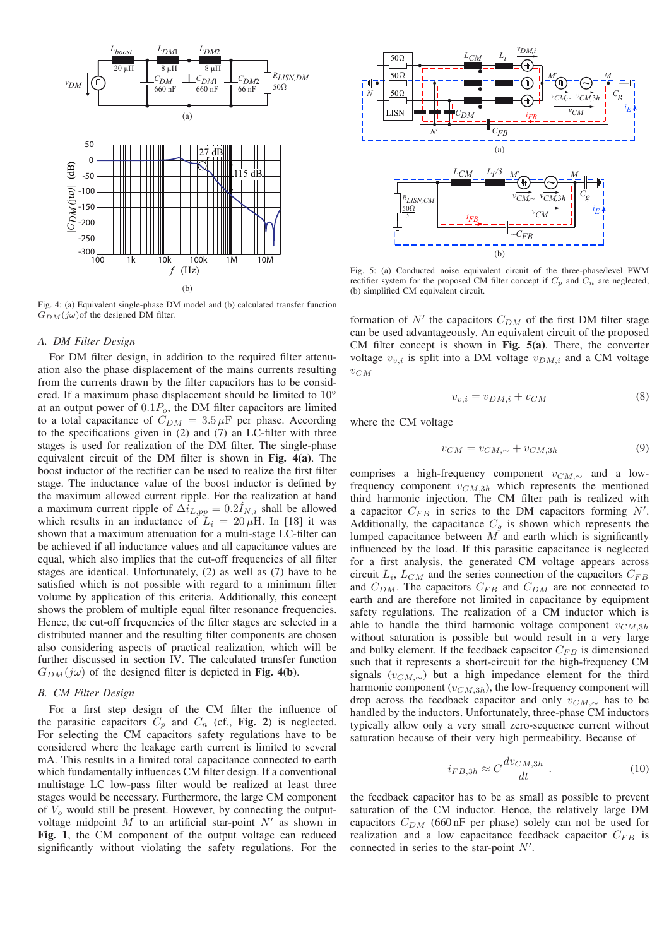

Fig. 4: (a) Equivalent single-phase DM model and (b) calculated transfer function  $G_{DM}(j\omega)$ of the designed DM filter.

## *A. DM Filter Design*

For DM filter design, in addition to the required filter attenuation also the phase displacement of the mains currents resulting from the currents drawn by the filter capacitors has to be considered. If a maximum phase displacement should be limited to 10° at an output power of  $0.1P_o$ , the DM filter capacitors are limited to a total capacitance of  $C_{DM} = 3.5 \,\mu\text{F}$  per phase. According to the specifications given in  $(2)$  and  $(7)$  an LC-filter with three stages is used for realization of the DM filter. The single-phase equivalent circuit of the DM filter is shown in Fig. 4(a). The boost inductor of the rectifier can be used to realize the first filter stage. The inductance value of the boost inductor is defined by the maximum allowed current ripple. For the realization at hand a maximum current ripple of  $\Delta i_{L,pp} = 0.2 \hat{I}_{N,i}$  shall be allowed which results in an inductance of  $L_i = 20 \,\mu$ H. In [18] it was shown that a maximum attenuation for a multi-stage LC-filter can be achieved if all inductance values and all capacitance values are equal, which also implies that the cut-off frequencies of all filter stages are identical. Unfortunately, (2) as well as (7) have to be satisfied which is not possible with regard to a minimum filter volume by application of this criteria. Additionally, this concept shows the problem of multiple equal filter resonance frequencies. Hence, the cut-off frequencies of the filter stages are selected in a distributed manner and the resulting filter components are chosen also considering aspects of practical realization, which will be further discussed in section IV. The calculated transfer function  $G_{DM}(j\omega)$  of the designed filter is depicted in Fig. 4(b).

# *B. CM Filter Design*

For a first step design of the CM filter the influence of the parasitic capacitors  $C_n$  and  $C_n$  (cf., Fig. 2) is neglected. For selecting the CM capacitors safety regulations have to be considered where the leakage earth current is limited to several mA. This results in a limited total capacitance connected to earth which fundamentally influences CM filter design. If a conventional multistage LC low-pass filter would be realized at least three stages would be necessary. Furthermore, the large CM component of  $V<sub>o</sub>$  would still be present. However, by connecting the outputvoltage midpoint  $\overrightarrow{M}$  to an artificial star-point  $\overrightarrow{N}$  as shown in Fig. 1, the CM component of the output voltage can reduced significantly without violating the safety regulations. For the



Fig. 5: (a) Conducted noise equivalent circuit of the three-phase/level PWM rectifier system for the proposed CM filter concept if  $C_n$  and  $C_n$  are neglected; (b) simplified CM equivalent circuit.

formation of  $N'$  the capacitors  $C_{DM}$  of the first DM filter stage can be used advantageously. An equivalent circuit of the proposed CM filter concept is shown in Fig. 5(a). There, the converter voltage  $v_{v,i}$  is split into a DM voltage  $v_{DM,i}$  and a CM voltage  $v_{CM}$ 

$$
v_{v,i} = v_{DM,i} + v_{CM} \tag{8}
$$

where the CM voltage

$$
v_{CM} = v_{CM, \sim} + v_{CM, 3h} \tag{9}
$$

comprises a high-frequency component  $v_{CM, \sim}$  and a lowfrequency component  $v_{CM,3h}$  which represents the mentioned third harmonic injection. The CM filter path is realized with a capacitor  $C_{FB}$  in series to the DM capacitors forming N'. Additionally, the capacitance  $C_g$  is shown which represents the lumped capacitance between  $\overrightarrow{M}$  and earth which is significantly influenced by the load. If this parasitic capacitance is neglected for a first analysis, the generated CM voltage appears across circuit  $L_i$ ,  $L_{CM}$  and the series connection of the capacitors  $C_{FB}$ and  $C_{DM}$ . The capacitors  $C_{FB}$  and  $C_{DM}$  are not connected to earth and are therefore not limited in capacitance by equipment safety regulations. The realization of a CM inductor which is able to handle the third harmonic voltage component  $v_{CM,3h}$ without saturation is possible but would result in a very large and bulky element. If the feedback capacitor  $C_{FB}$  is dimensioned such that it represents a short-circuit for the high-frequency CM signals ( $v_{CM,~\sim}$ ) but a high impedance element for the third harmonic component  $(v_{CM,3h})$ , the low-frequency component will drop across the feedback capacitor and only  $v_{CM, \sim}$  has to be handled by the inductors. Unfortunately, three-phase CM inductors typically allow only a very small zero-sequence current without saturation because of their very high permeability. Because of

$$
i_{FB,3h} \approx C \frac{dv_{CM,3h}}{dt} \ . \tag{10}
$$

the feedback capacitor has to be as small as possible to prevent saturation of the CM inductor. Hence, the relatively large DM capacitors  $C_{DM}$  (660 nF per phase) solely can not be used for realization and a low capacitance feedback capacitor  $C_{FB}$  is connected in series to the star-point  $N'$ .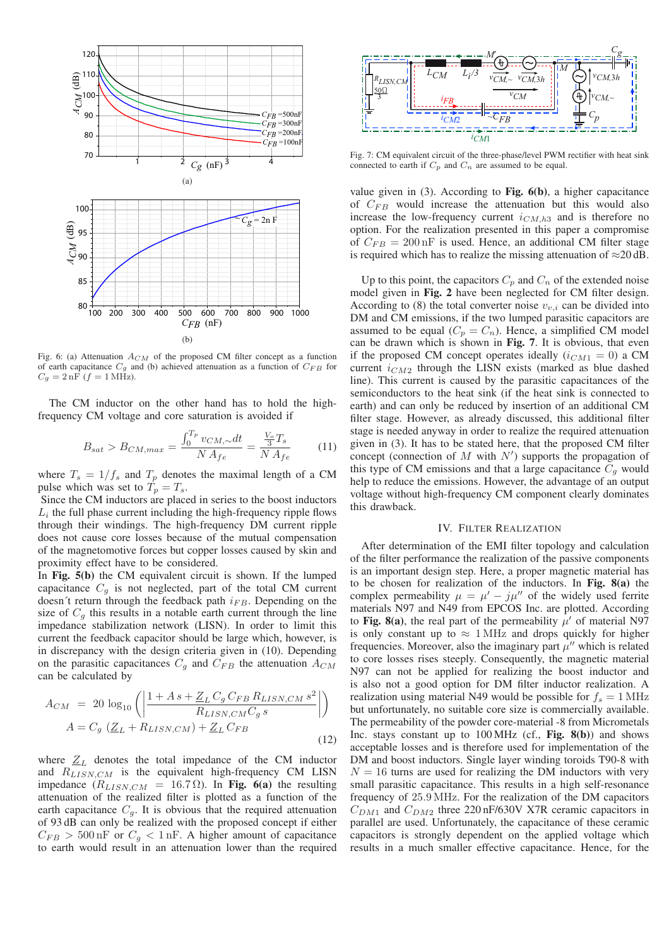

Fig. 6: (a) Attenuation  $A_{CM}$  of the proposed CM filter concept as a function of earth capacitance  $C_g$  and (b) achieved attenuation as a function of  $C_{FB}$  for  $C_q = 2 \text{ nF } (f = 1 \text{ MHz}).$ 

The CM inductor on the other hand has to hold the highfrequency CM voltage and core saturation is avoided if

$$
B_{sat} > B_{CM,max} = \frac{\int_0^{T_p} v_{CM, \sim} dt}{N A_{fe}} = \frac{\frac{V_o}{3} T_s}{N A_{fe}} \tag{11}
$$

where  $T_s = 1/f_s$  and  $T_p$  denotes the maximal length of a CM pulse which was set to  $T_p = T_s$ .

Since the CM inductors are placed in series to the boost inductors  $L_i$  the full phase current including the high-frequency ripple flows through their windings. The high-frequency DM current ripple does not cause core losses because of the mutual compensation of the magnetomotive forces but copper losses caused by skin and proximity effect have to be considered.

In Fig. 5(b) the CM equivalent circuit is shown. If the lumped capacitance  $C_g$  is not neglected, part of the total CM current doesn't return through the feedback path  $i_{FB}$ . Depending on the size of  $C_q$  this results in a notable earth current through the line impedance stabilization network (LISN). In order to limit this current the feedback capacitor should be large which, however, is in discrepancy with the design criteria given in (10). Depending on the parasitic capacitances  $C_q$  and  $C_{FB}$  the attenuation  $A_{CM}$ can be calculated by

$$
A_{CM} = 20 \log_{10} \left( \left| \frac{1 + As + \underline{Z}_L C_g C_{FB} R_{LISN,CM} s^2}{R_{LISN,CM} C_g s} \right| \right)
$$
  

$$
A = C_g \left( \underline{Z}_L + R_{LISN,CM} \right) + \underline{Z}_L C_{FB}
$$
(12)

where  $Z_L$  denotes the total impedance of the CM inductor and  $R_{LISN,CM}$  is the equivalent high-frequency CM LISN impedance  $(R_{LISN,CM} = 16.7 \Omega)$ . In Fig. 6(a) the resulting attenuation of the realized filter is plotted as a function of the earth capacitance  $C_q$ . It is obvious that the required attenuation of 93 dB can only be realized with the proposed concept if either  $C_{FB} > 500$  nF or  $C_g < 1$  nF. A higher amount of capacitance to earth would result in an attenuation lower than the required



Fig. 7: CM equivalent circuit of the three-phase/level PWM rectifier with heat sink connected to earth if  $C_p$  and  $C_n$  are assumed to be equal.

value given in  $(3)$ . According to Fig.  $6(b)$ , a higher capacitance of  $C_{FB}$  would increase the attenuation but this would also increase the low-frequency current  $i_{CM,h3}$  and is therefore no option. For the realization presented in this paper a compromise of  $C_{FB} = 200$  nF is used. Hence, an additional CM filter stage is required which has to realize the missing attenuation of  $\approx$ 20 dB.

Up to this point, the capacitors  $C_p$  and  $C_n$  of the extended noise model given in Fig. 2 have been neglected for CM filter design. According to (8) the total converter noise  $v_{v,i}$  can be divided into DM and CM emissions, if the two lumped parasitic capacitors are assumed to be equal  $(C_p = C_n)$ . Hence, a simplified CM model can be drawn which is shown in Fig. 7. It is obvious, that even if the proposed CM concept operates ideally  $(i_{CM1} = 0)$  a CM current  $i_{CM2}$  through the LISN exists (marked as blue dashed line). This current is caused by the parasitic capacitances of the semiconductors to the heat sink (if the heat sink is connected to earth) and can only be reduced by insertion of an additional CM filter stage. However, as already discussed, this additional filter stage is needed anyway in order to realize the required attenuation given in (3). It has to be stated here, that the proposed CM filter concept (connection of M with  $N'$ ) supports the propagation of this type of CM emissions and that a large capacitance  $C_q$  would help to reduce the emissions. However, the advantage of an output voltage without high-frequency CM component clearly dominates this drawback.

### IV. FILTER REALIZATION

After determination of the EMI filter topology and calculation of the filter performance the realization of the passive components is an important design step. Here, a proper magnetic material has to be chosen for realization of the inductors. In Fig. 8(a) the complex permeability  $\mu = \mu' - j\mu''$  of the widely used ferrite materials N97 and N49 from EPCOS Inc. are plotted. According to Fig. 8(a), the real part of the permeability  $\mu'$  of material N97 is only constant up to  $\approx 1$  MHz and drops quickly for higher frequencies. Moreover, also the imaginary part  $\mu''$  which is related to core losses rises steeply. Consequently, the magnetic material N97 can not be applied for realizing the boost inductor and is also not a good option for DM filter inductor realization. A realization using material N49 would be possible for  $f_s = 1 \text{ MHz}$ but unfortunately, no suitable core size is commercially available. The permeability of the powder core-material -8 from Micrometals Inc. stays constant up to  $100 \text{ MHz}$  (cf., Fig. 8(b)) and shows acceptable losses and is therefore used for implementation of the DM and boost inductors. Single layer winding toroids T90-8 with  $N = 16$  turns are used for realizing the DM inductors with very small parasitic capacitance. This results in a high self-resonance frequency of 25.9 MHz. For the realization of the DM capacitors  $C_{DM1}$  and  $C_{DM2}$  three 220 nF/630V X7R ceramic capacitors in parallel are used. Unfortunately, the capacitance of these ceramic capacitors is strongly dependent on the applied voltage which results in a much smaller effective capacitance. Hence, for the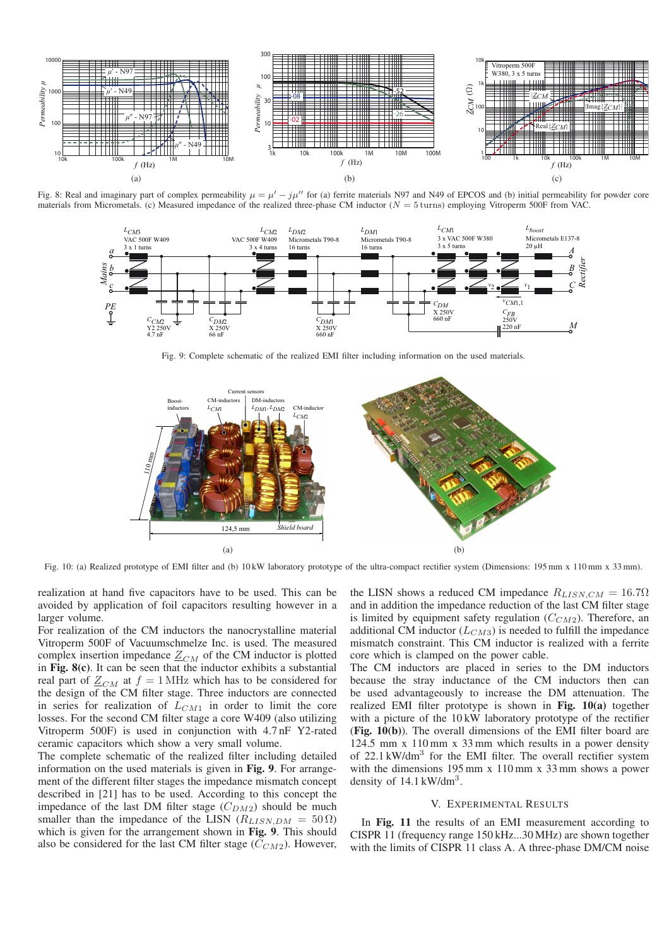

Fig. 8: Real and imaginary part of complex permeability  $\mu = \mu' - j\mu''$  for (a) ferrite materials N97 and N49 of EPCOS and (b) initial permeability for powder core materials from Micrometals. (c) Measured impedance of the realized three-phase CM inductor ( $N = 5$  turns) employing Vitroperm 500F from VAC.



Fig. 9: Complete schematic of the realized EMI filter including information on the used materials.



Fig. 10: (a) Realized prototype of EMI filter and (b) 10 kW laboratory prototype of the ultra-compact rectifier system (Dimensions: 195 mm x 110 mm x 33 mm).

realization at hand five capacitors have to be used. This can be avoided by application of foil capacitors resulting however in a larger volume.

For realization of the CM inductors the nanocrystalline material Vitroperm 500F of Vacuumschmelze Inc. is used. The measured complex insertion impedance  $Z_{CM}$  of the CM inductor is plotted in Fig. 8(c). It can be seen that the inductor exhibits a substantial real part of  $Z_{CM}$  at  $f = 1$  MHz which has to be considered for the design of the CM filter stage. Three inductors are connected in series for realization of  $L_{CM1}$  in order to limit the core losses. For the second CM filter stage a core W409 (also utilizing Vitroperm 500F) is used in conjunction with 4.7 nF Y2-rated ceramic capacitors which show a very small volume.

The complete schematic of the realized filter including detailed information on the used materials is given in Fig. 9. For arrangement of the different filter stages the impedance mismatch concept described in [21] has to be used. According to this concept the impedance of the last DM filter stage  $(C_{DM2})$  should be much smaller than the impedance of the LISN ( $R_{LISM,DM} = 50 \Omega$ ) which is given for the arrangement shown in Fig. 9. This should also be considered for the last CM filter stage  $(C_{CM2})$ . However, the LISN shows a reduced CM impedance  $R_{LISN,CM} = 16.7\Omega$ and in addition the impedance reduction of the last CM filter stage is limited by equipment safety regulation  $(C_{CM2})$ . Therefore, an additional CM inductor  $(L_{CM3})$  is needed to fulfill the impedance mismatch constraint. This CM inductor is realized with a ferrite core which is clamped on the power cable.

The CM inductors are placed in series to the DM inductors because the stray inductance of the CM inductors then can be used advantageously to increase the DM attenuation. The realized EMI filter prototype is shown in Fig. 10(a) together with a picture of the 10 kW laboratory prototype of the rectifier (Fig. 10(b)). The overall dimensions of the EMI filter board are 124.5 mm x 110 mm x 33 mm which results in a power density of 22.1 kW/dm<sup>3</sup> for the EMI filter. The overall rectifier system with the dimensions 195 mm x 110 mm x 33 mm shows a power density of 14.1 kW/dm<sup>3</sup>.

#### V. EXPERIMENTAL RESULTS

In Fig. 11 the results of an EMI measurement according to CISPR 11 (frequency range 150 kHz...30 MHz) are shown together with the limits of CISPR 11 class A. A three-phase DM/CM noise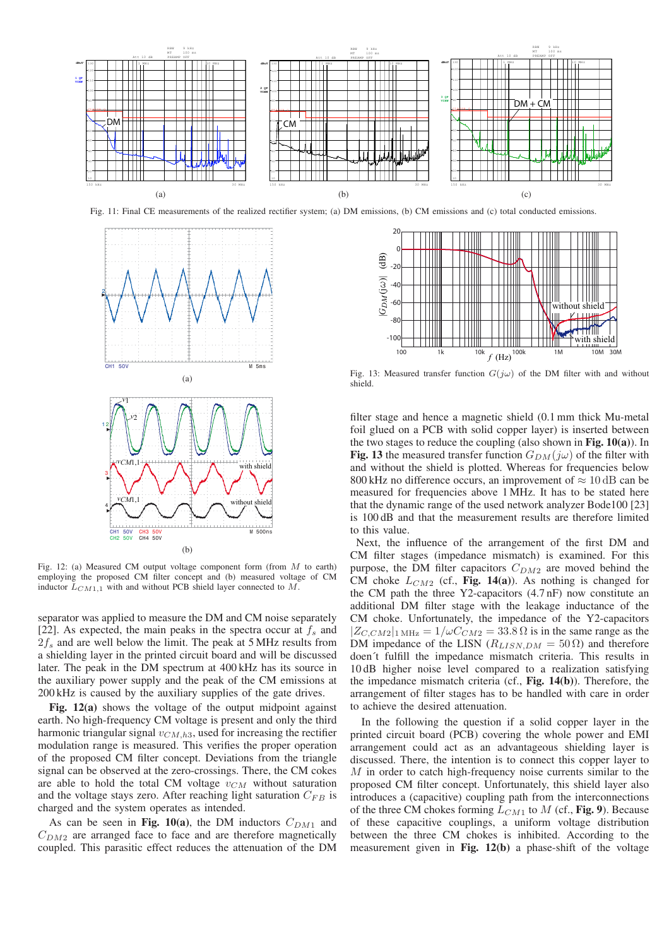

Fig. 11: Final CE measurements of the realized rectifier system; (a) DM emissions, (b) CM emissions and (c) total conducted emissions.



Fig. 12: (a) Measured CM output voltage component form (from  $M$  to earth) employing the proposed CM filter concept and (b) measured voltage of CM inductor  $\overline{L}_{CM1,1}$  with and without PCB shield layer connected to M.

separator was applied to measure the DM and CM noise separately [22]. As expected, the main peaks in the spectra occur at  $f_s$  and  $2f_s$  and are well below the limit. The peak at 5 MHz results from a shielding layer in the printed circuit board and will be discussed later. The peak in the DM spectrum at 400 kHz has its source in the auxiliary power supply and the peak of the CM emissions at 200 kHz is caused by the auxiliary supplies of the gate drives.

Fig. 12(a) shows the voltage of the output midpoint against earth. No high-frequency CM voltage is present and only the third harmonic triangular signal  $v_{CM,h3}$ , used for increasing the rectifier modulation range is measured. This verifies the proper operation of the proposed CM filter concept. Deviations from the triangle signal can be observed at the zero-crossings. There, the CM cokes are able to hold the total CM voltage  $v_{CM}$  without saturation and the voltage stays zero. After reaching light saturation  $C_{FB}$  is charged and the system operates as intended.

As can be seen in Fig. 10(a), the DM inductors  $C_{DM1}$  and  $C_{DM2}$  are arranged face to face and are therefore magnetically coupled. This parasitic effect reduces the attenuation of the DM



Fig. 13: Measured transfer function  $G(j\omega)$  of the DM filter with and without shield.

filter stage and hence a magnetic shield (0.1 mm thick Mu-metal foil glued on a PCB with solid copper layer) is inserted between the two stages to reduce the coupling (also shown in Fig.  $10(a)$ ). In Fig. 13 the measured transfer function  $G_{DM}(j\omega)$  of the filter with and without the shield is plotted. Whereas for frequencies below 800 kHz no difference occurs, an improvement of  $\approx 10 \text{ dB}$  can be measured for frequencies above 1 MHz. It has to be stated here that the dynamic range of the used network analyzer Bode100 [23] is 100 dB and that the measurement results are therefore limited to this value.

Next, the influence of the arrangement of the first DM and CM filter stages (impedance mismatch) is examined. For this purpose, the DM filter capacitors  $C_{DM2}$  are moved behind the CM choke  $L_{CM2}$  (cf., Fig. 14(a)). As nothing is changed for the CM path the three Y2-capacitors (4.7 nF) now constitute an additional DM filter stage with the leakage inductance of the CM choke. Unfortunately, the impedance of the Y2-capacitors  $|Z_{C,CM2}|_{1 \text{ MHz}} = 1/\omega C_{CM2} = 33.8 \Omega$  is in the same range as the DM impedance of the LISN ( $R_{LISM,DM} = 50 \Omega$ ) and therefore doen´t fulfill the impedance mismatch criteria. This results in 10 dB higher noise level compared to a realization satisfying the impedance mismatch criteria (cf., Fig. 14(b)). Therefore, the arrangement of filter stages has to be handled with care in order to achieve the desired attenuation.

In the following the question if a solid copper layer in the printed circuit board (PCB) covering the whole power and EMI arrangement could act as an advantageous shielding layer is discussed. There, the intention is to connect this copper layer to M in order to catch high-frequency noise currents similar to the proposed CM filter concept. Unfortunately, this shield layer also introduces a (capacitive) coupling path from the interconnections of the three CM chokes forming  $L_{CM1}$  to M (cf., Fig. 9). Because of these capacitive couplings, a uniform voltage distribution between the three CM chokes is inhibited. According to the measurement given in Fig. 12(b) a phase-shift of the voltage